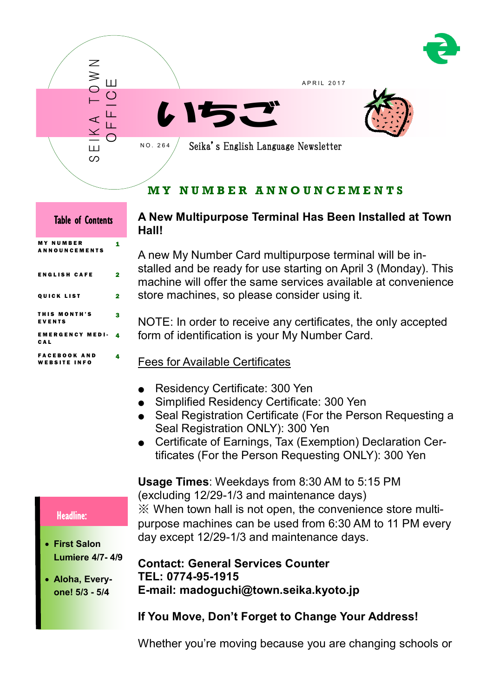



# **M Y N U M B E R A N N O U N C E M E N T S**

| IADIE OI COINEINS                        |   |  |
|------------------------------------------|---|--|
| <b>MY NUMBER</b><br><b>ANNOUNCEMENTS</b> | 1 |  |
| ENGLISH CAFE                             | 2 |  |
| <b>QUICK LIST</b>                        | 2 |  |
| THIS MONTH'S<br>EVENTS                   | 3 |  |
| EMERGENCY MEDI-<br>CAL                   | 4 |  |
| FACEBOOK AND<br><b>WEBSITE INFO</b>      | 4 |  |

 $\overline{\phantom{a}}$ 

# **A New Multipurpose Terminal Has Been Installed at Town Hall!**

A new My Number Card multipurpose terminal will be installed and be ready for use starting on April 3 (Monday). This machine will offer the same services available at convenience store machines, so please consider using it.

NOTE: In order to receive any certificates, the only accepted form of identification is your My Number Card.

- Fees for Available Certificates
- Residency Certificate: 300 Yen
- Simplified Residency Certificate: 300 Yen
- Seal Registration Certificate (For the Person Requesting a Seal Registration ONLY): 300 Yen
- Certificate of Earnings, Tax (Exemption) Declaration Certificates (For the Person Requesting ONLY): 300 Yen

**Usage Times**: Weekdays from 8:30 AM to 5:15 PM (excluding 12/29-1/3 and maintenance days) ※ When town hall is not open, the convenience store multipurpose machines can be used from 6:30 AM to 11 PM every day except 12/29-1/3 and maintenance days.

## Headline:

- **First Salon Lumiere 4/7- 4/9**
- **Aloha, Everyone! 5/3 - 5/4**

**Contact: General Services Counter TEL: 0774-95-1915 E-mail: madoguchi@town.seika.kyoto.jp**

# **If You Move, Don't Forget to Change Your Address!**

Whether you're moving because you are changing schools or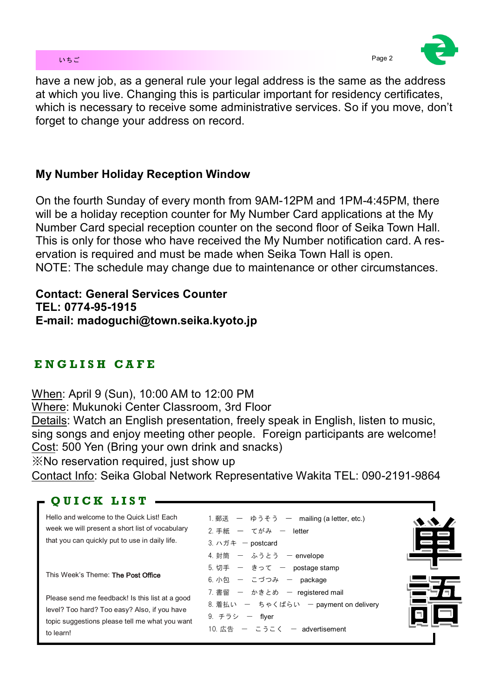## いちご Page 2 とのこと Page 2 とのこと こうしょうかい こうしょうかい Page 2



have a new job, as a general rule your legal address is the same as the address at which you live. Changing this is particular important for residency certificates, which is necessary to receive some administrative services. So if you move, don't forget to change your address on record.

# **My Number Holiday Reception Window**

On the fourth Sunday of every month from 9AM-12PM and 1PM-4:45PM, there will be a holiday reception counter for My Number Card applications at the My Number Card special reception counter on the second floor of Seika Town Hall. This is only for those who have received the My Number notification card. A reservation is required and must be made when Seika Town Hall is open. NOTE: The schedule may change due to maintenance or other circumstances.

**Contact: General Services Counter TEL: 0774-95-1915 E-mail: madoguchi@town.seika.kyoto.jp**

# **E N G L I S H C A F E**

When: April 9 (Sun), 10:00 AM to 12:00 PM

Where: Mukunoki Center Classroom, 3rd Floor

Details: Watch an English presentation, freely speak in English, listen to music, sing songs and enjoy meeting other people. Foreign participants are welcome! Cost: 500 Yen (Bring your own drink and snacks)

※No reservation required, just show up

Contact Info: Seika Global Network Representative Wakita TEL: 090-2191-9864

## **Q U I C K L I S T**

| Hello and welcome to the Quick List! Each<br>week we will present a short list of vocabulary<br>that you can quickly put to use in daily life.                 | 1. 郵送 ― ゆうそう ― mailing (a letter, etc.)<br>2. 手紙 ― てがみ ― letter<br>3. ハガキ – postcard<br>4. 封筒 ー ふうとう ー envelope |  |
|----------------------------------------------------------------------------------------------------------------------------------------------------------------|-----------------------------------------------------------------------------------------------------------------|--|
| This Week's Theme: The Post Office                                                                                                                             | 5. 切手 ー きって ー postage stamp<br>6. 小包 – こづつみ – package<br>7. 書留 ー かきとめ ー registered mail                         |  |
| Please send me feedback! Is this list at a good<br>level? Too hard? Too easy? Also, if you have<br>topic suggestions please tell me what you want<br>to learn! | 8. 着払い ー ちゃくばらい ー payment on delivery<br>9. チラシ ー flyer<br>10. 広告 ー こうこく ー advertisement                        |  |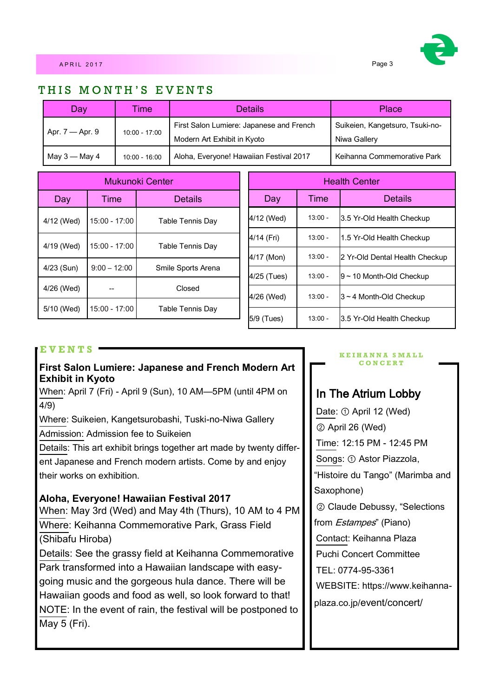

## THIS MONTH'S EVENTS

| Day                                                                                                           | <b>Time</b>     | <b>Details</b>                                  | Place                       |  |
|---------------------------------------------------------------------------------------------------------------|-----------------|-------------------------------------------------|-----------------------------|--|
| First Salon Lumiere: Japanese and French<br>Apr. $7 -$ Apr. 9<br>10:00 - 17:00<br>Modern Art Exhibit in Kyoto |                 | Suikeien, Kangetsuro, Tsuki-no-<br>Niwa Gallery |                             |  |
| May 3 — May 4                                                                                                 | $10:00 - 16:00$ | Aloha, Everyone! Hawaiian Festival 2017         | Keihanna Commemorative Park |  |

| Mukunoki Center |                 |                         |  |
|-----------------|-----------------|-------------------------|--|
| Day             | Time            | <b>Details</b>          |  |
| 4/12 (Wed)      | 15:00 - 17:00   | <b>Table Tennis Day</b> |  |
| 4/19 (Wed)      | 15:00 - 17:00   | <b>Table Tennis Day</b> |  |
| $4/23$ (Sun)    | $9:00 - 12:00$  | Smile Sports Arena      |  |
| 4/26 (Wed)      |                 | Closed                  |  |
| 5/10 (Wed)      | $15:00 - 17:00$ | <b>Table Tennis Day</b> |  |

| <b>Health Center</b> |           |                                |
|----------------------|-----------|--------------------------------|
| Day                  | Time      | <b>Details</b>                 |
| 4/12 (Wed)           | $13:00 -$ | 3.5 Yr-Old Health Checkup      |
| 4/14 (Fri)           | $13:00 -$ | 1.5 Yr-Old Health Checkup      |
| 4/17 (Mon)           | $13:00 -$ | 2 Yr-Old Dental Health Checkup |
| 4/25 (Tues)          | $13:00 -$ | $9 \sim 10$ Month-Old Checkup  |
| 4/26 (Wed)           | $13:00 -$ | $3 \sim 4$ Month-Old Checkup   |
| 5/9 (Tues)           | $13:00 -$ | 3.5 Yr-Old Health Checkup      |

## **E V E N T S**

## **First Salon Lumiere: Japanese and French Modern Art Exhibit in Kyoto**

When: April 7 (Fri) - April 9 (Sun), 10 AM—5PM (until 4PM on 4/9)

Where: Suikeien, Kangetsurobashi, Tuski-no-Niwa Gallery Admission: Admission fee to Suikeien

Details: This art exhibit brings together art made by twenty different Japanese and French modern artists. Come by and enjoy their works on exhibition.

## **Aloha, Everyone! Hawaiian Festival 2017**

When: May 3rd (Wed) and May 4th (Thurs), 10 AM to 4 PM Where: Keihanna Commemorative Park, Grass Field (Shibafu Hiroba)

Details: See the grassy field at Keihanna Commemorative Park transformed into a Hawaiian landscape with easygoing music and the gorgeous hula dance. There will be Hawaiian goods and food as well, so look forward to that! NOTE: In the event of rain, the festival will be postponed to May 5 (Fri).

#### **K E I H A N N A S M A L L C O N C E R T**

## In The Atrium Lobby

Date: ① April 12 (Wed) ② April 26 (Wed) Time: 12:15 PM - 12:45 PM Songs: ① Astor Piazzola, "Histoire du Tango" (Marimba and Saxophone) ② Claude Debussy, "Selections from *Estampes*" (Piano) Contact: Keihanna Plaza Puchi Concert Committee TEL: 0774-95-3361 WEBSITE: https://www.keihannaplaza.co.jp/event/concert/